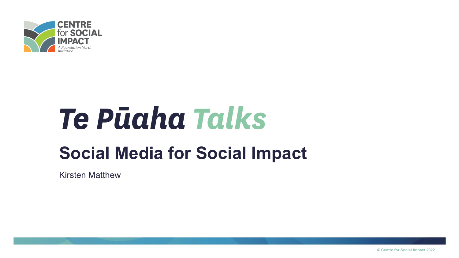

# Te Pūaha Talks **Social Media for Social Impact**

Kirsten Matthew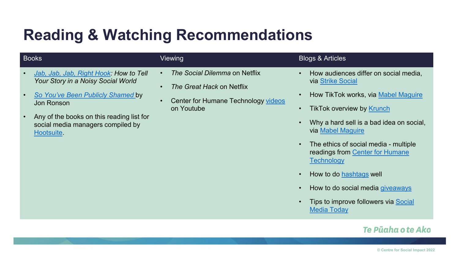## **Reading & Watching Recommendations**

| <b>Books</b>                                                                                                                                                                                                                           | <b>Viewing</b>                                                                                                               | <b>Blogs &amp; Articles</b>                                                                                                                                                                                                                                                                                                                                                                                                          |
|----------------------------------------------------------------------------------------------------------------------------------------------------------------------------------------------------------------------------------------|------------------------------------------------------------------------------------------------------------------------------|--------------------------------------------------------------------------------------------------------------------------------------------------------------------------------------------------------------------------------------------------------------------------------------------------------------------------------------------------------------------------------------------------------------------------------------|
| Jab, Jab, Jab, Right Hook: How to Tell<br>Your Story in a Noisy Social World<br>So You've Been Publicly Shamed by<br><b>Jon Ronson</b><br>Any of the books on this reading list for<br>social media managers compiled by<br>Hootsuite. | The Social Dilemma on Netflix<br>The Great Hack on Netflix<br>$\bullet$<br>Center for Humane Technology videos<br>on Youtube | How audiences differ on social media,<br>via Strike Social<br>How TikTok works, via Mabel Maguire<br><b>TikTok overview by Krunch</b><br>Why a hard sell is a bad idea on social,<br>via Mabel Maguire<br>The ethics of social media - multiple<br>readings from Center for Humane<br><b>Technology</b><br>How to do hashtags well<br>How to do social media giveaways<br>Tips to improve followers via Social<br><b>Media Today</b> |
|                                                                                                                                                                                                                                        |                                                                                                                              | Te Pūaha o te Ako                                                                                                                                                                                                                                                                                                                                                                                                                    |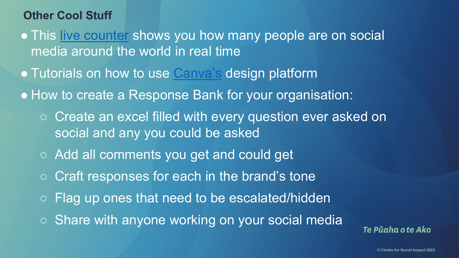### **Other Cool Stuff**

- This [live counter](https://www.coupofy.com/social-media-in-realtime/#open-menu) shows you how many people are on social media around the world in real time
- Tutorials on how to use [Canva's](https://www.canva.com/designschool/tutorials/) design platform
- How to create a Response Bank for your organisation:
	- Create an excel filled with every question ever asked on social and any you could be asked
	- Add all comments you get and could get
	- Craft responses for each in the brand's tone
	- Flag up ones that need to be escalated/hidden
	- Share with anyone working on your social media

Te Pūaha o te Ako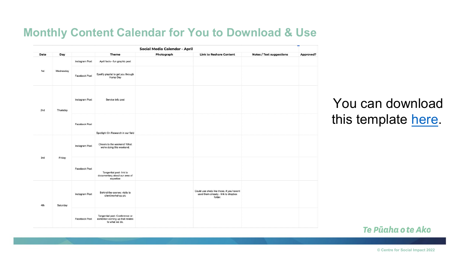#### **Monthly Content Calendar for You to Download & Use**

| Social Media Calendar - April |           |                |                                                                                       |            |                                                                                             |                                 |           |
|-------------------------------|-----------|----------------|---------------------------------------------------------------------------------------|------------|---------------------------------------------------------------------------------------------|---------------------------------|-----------|
| Date                          | Day       |                | <b>Theme</b>                                                                          | Photograph | <b>Link to Reshare Content</b>                                                              | <b>Notes / Text suggestions</b> | Approved? |
|                               |           | Instagram Post | April fools - fun graphic post                                                        |            |                                                                                             |                                 |           |
| 1st                           | Wednesday | Facebook Post  | Spotify playlist to get you through<br>Hump Day                                       |            |                                                                                             |                                 |           |
| 2nd                           | Thursday  | Instagram Post | Service info post                                                                     |            |                                                                                             |                                 |           |
|                               |           | Facebook Post  | Spotlight On Research in our field                                                    |            |                                                                                             |                                 |           |
| 3rd<br>Friday                 |           | Instagram Post | Cheers to the weekend! What<br>we're doing this weekend.                              |            |                                                                                             |                                 |           |
|                               |           | Facebook Post  | Tangential post- link to<br>documentary about our area of<br>expertise                |            |                                                                                             |                                 |           |
| 4th                           | Saturday  | Instagram Post | Behind-the-scenes: visits to<br>client/workshop pic                                   |            | Could use shots like these, if you havent<br>used them already - link to dropbox<br>folder. |                                 |           |
|                               |           | Facebook Post  | Tangential post: Conference or<br>exhibition coming up that relates<br>to what we do. |            |                                                                                             |                                 |           |

### You can download this template [here.](https://bit.ly/3yET82U)

#### Te Pūaha o te Ako